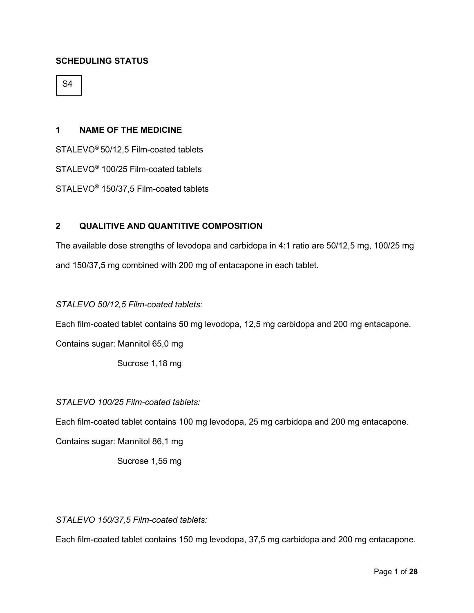## **SCHEDULING STATUS**

S4

#### **1 NAME OF THE MEDICINE**

STALEVO® 50/12,5 Film-coated tablets

STALEVO® 100/25 Film-coated tablets

STALEVO® 150/37,5 Film-coated tablets

## **2 QUALITIVE AND QUANTITIVE COMPOSITION**

The available dose strengths of levodopa and carbidopa in 4:1 ratio are 50/12,5 mg, 100/25 mg and 150/37,5 mg combined with 200 mg of entacapone in each tablet.

#### *STALEVO 50/12,5 Film-coated tablets:*

Each film-coated tablet contains 50 mg levodopa, 12,5 mg carbidopa and 200 mg entacapone.

Contains sugar: Mannitol 65,0 mg

Sucrose 1,18 mg

#### *STALEVO 100/25 Film-coated tablets:*

Each film-coated tablet contains 100 mg levodopa, 25 mg carbidopa and 200 mg entacapone.

Contains sugar: Mannitol 86,1 mg

Sucrose 1,55 mg

## *STALEVO 150/37,5 Film-coated tablets:*

Each film-coated tablet contains 150 mg levodopa, 37,5 mg carbidopa and 200 mg entacapone.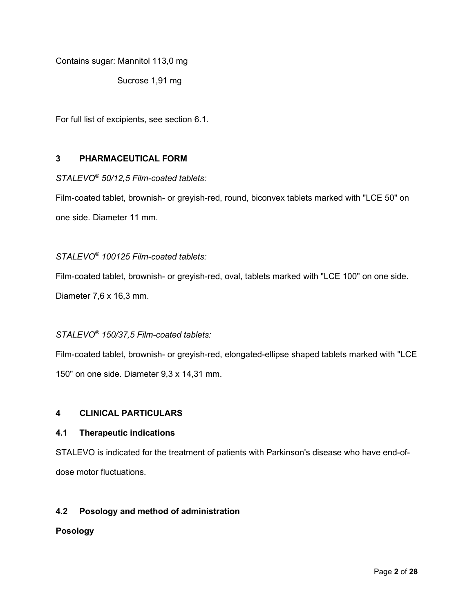Contains sugar: Mannitol 113,0 mg

Sucrose 1,91 mg

For full list of excipients, see section 6.1.

## **3 PHARMACEUTICAL FORM**

*STALEVO® 50/12,5 Film-coated tablets:*

Film-coated tablet, brownish- or greyish-red, round, biconvex tablets marked with "LCE 50" on one side. Diameter 11 mm.

## *STALEVO® 100125 Film-coated tablets:*

Film-coated tablet, brownish- or greyish-red, oval, tablets marked with "LCE 100" on one side.

Diameter 7,6 x 16,3 mm.

## *STALEVO® 150/37,5 Film-coated tablets:*

Film-coated tablet, brownish- or greyish-red, elongated-ellipse shaped tablets marked with "LCE 150" on one side. Diameter 9,3 x 14,31 mm.

## **4 CLINICAL PARTICULARS**

#### **4.1 Therapeutic indications**

STALEVO is indicated for the treatment of patients with Parkinson's disease who have end-ofdose motor fluctuations.

## **4.2 Posology and method of administration**

#### **Posology**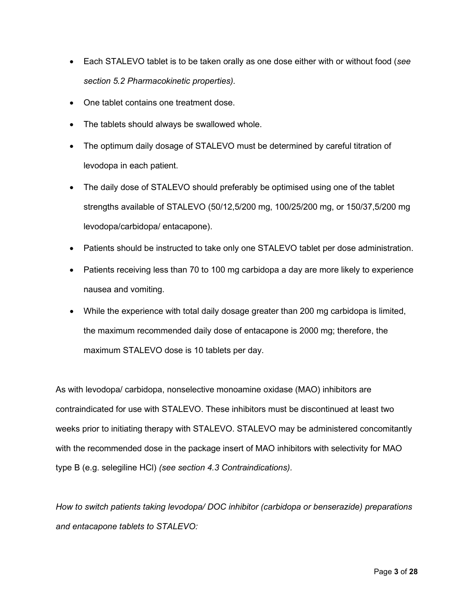- Each STALEVO tablet is to be taken orally as one dose either with or without food (*see section 5.2 Pharmacokinetic properties).*
- One tablet contains one treatment dose.
- The tablets should always be swallowed whole.
- The optimum daily dosage of STALEVO must be determined by careful titration of levodopa in each patient.
- The daily dose of STALEVO should preferably be optimised using one of the tablet strengths available of STALEVO (50/12,5/200 mg, 100/25/200 mg, or 150/37,5/200 mg levodopa/carbidopa/ entacapone).
- Patients should be instructed to take only one STALEVO tablet per dose administration.
- Patients receiving less than 70 to 100 mg carbidopa a day are more likely to experience nausea and vomiting.
- While the experience with total daily dosage greater than 200 mg carbidopa is limited, the maximum recommended daily dose of entacapone is 2000 mg; therefore, the maximum STALEVO dose is 10 tablets per day.

As with levodopa/ carbidopa, nonselective monoamine oxidase (MAO) inhibitors are contraindicated for use with STALEVO. These inhibitors must be discontinued at least two weeks prior to initiating therapy with STALEVO. STALEVO may be administered concomitantly with the recommended dose in the package insert of MAO inhibitors with selectivity for MAO type B (e.g. selegiline HCl) *(see section 4.3 Contraindications).*

*How to switch patients taking levodopa/ DOC inhibitor (carbidopa or benserazide) preparations and entacapone tablets to STALEVO:*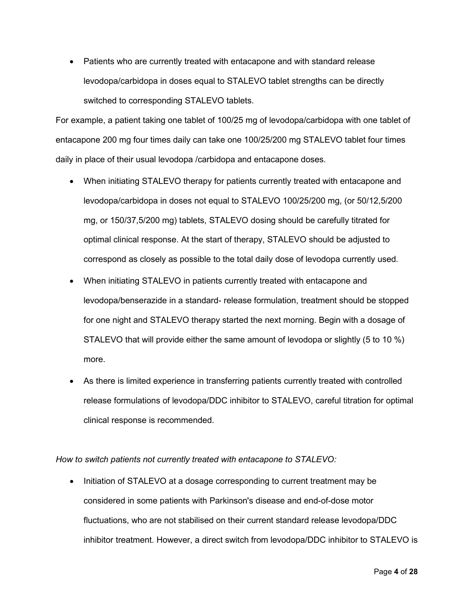• Patients who are currently treated with entacapone and with standard release levodopa/carbidopa in doses equal to STALEVO tablet strengths can be directly switched to corresponding STALEVO tablets.

For example, a patient taking one tablet of 100/25 mg of levodopa/carbidopa with one tablet of entacapone 200 mg four times daily can take one 100/25/200 mg STALEVO tablet four times daily in place of their usual levodopa /carbidopa and entacapone doses.

- When initiating STALEVO therapy for patients currently treated with entacapone and levodopa/carbidopa in doses not equal to STALEVO 100/25/200 mg, (or 50/12,5/200 mg, or 150/37,5/200 mg) tablets, STALEVO dosing should be carefully titrated for optimal clinical response. At the start of therapy, STALEVO should be adjusted to correspond as closely as possible to the total daily dose of levodopa currently used.
- When initiating STALEVO in patients currently treated with entacapone and levodopa/benserazide in a standard- release formulation, treatment should be stopped for one night and STALEVO therapy started the next morning. Begin with a dosage of STALEVO that will provide either the same amount of levodopa or slightly (5 to 10 %) more.
- As there is limited experience in transferring patients currently treated with controlled release formulations of levodopa/DDC inhibitor to STALEVO, careful titration for optimal clinical response is recommended.

*How to switch patients not currently treated with entacapone to STALEVO:*

• Initiation of STALEVO at a dosage corresponding to current treatment may be considered in some patients with Parkinson's disease and end-of-dose motor fluctuations, who are not stabilised on their current standard release levodopa/DDC inhibitor treatment. However, a direct switch from levodopa/DDC inhibitor to STALEVO is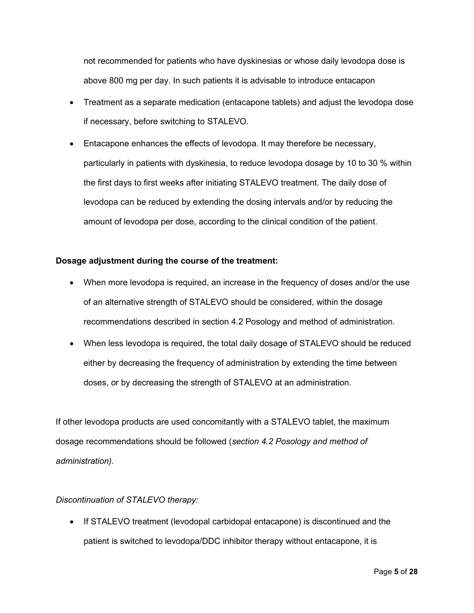not recommended for patients who have dyskinesias or whose daily levodopa dose is above 800 mg per day. In such patients it is advisable to introduce entacapon

- Treatment as a separate medication (entacapone tablets) and adjust the levodopa dose if necessary, before switching to STALEVO.
- Entacapone enhances the effects of levodopa. It may therefore be necessary, particularly in patients with dyskinesia, to reduce levodopa dosage by 10 to 30 % within the first days to first weeks after initiating STALEVO treatment. The daily dose of levodopa can be reduced by extending the dosing intervals and/or by reducing the amount of levodopa per dose, according to the clinical condition of the patient.

## **Dosage adjustment during the course of the treatment:**

- When more levodopa is required, an increase in the frequency of doses and/or the use of an alternative strength of STALEVO should be considered, within the dosage recommendations described in section 4.2 Posology and method of administration.
- When less levodopa is required, the total daily dosage of STALEVO should be reduced either by decreasing the frequency of administration by extending the time between doses, or by decreasing the strength of STALEVO at an administration.

If other levodopa products are used concomitantly with a STALEVO tablet, the maximum dosage recommendations should be followed (*section 4.2 Posology and method of administration).*

## *Discontinuation of STALEVO therapy:*

• If STALEVO treatment (levodopal carbidopal entacapone) is discontinued and the patient is switched to levodopa/DDC inhibitor therapy without entacapone, it is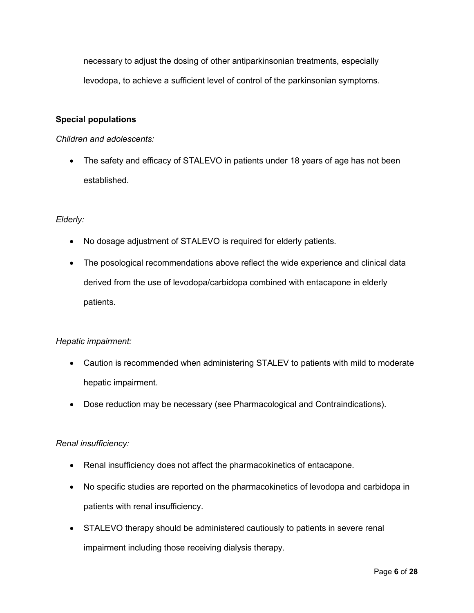necessary to adjust the dosing of other antiparkinsonian treatments, especially levodopa, to achieve a sufficient level of control of the parkinsonian symptoms.

## **Special populations**

#### *Children and adolescents:*

• The safety and efficacy of STALEVO in patients under 18 years of age has not been established.

## *Elderly:*

- No dosage adjustment of STALEVO is required for elderly patients.
- The posological recommendations above reflect the wide experience and clinical data derived from the use of levodopa/carbidopa combined with entacapone in elderly patients.

## *Hepatic impairment:*

- Caution is recommended when administering STALEV to patients with mild to moderate hepatic impairment.
- Dose reduction may be necessary (see Pharmacological and Contraindications).

## *Renal insufficiency:*

- Renal insufficiency does not affect the pharmacokinetics of entacapone.
- No specific studies are reported on the pharmacokinetics of levodopa and carbidopa in patients with renal insufficiency.
- STALEVO therapy should be administered cautiously to patients in severe renal impairment including those receiving dialysis therapy.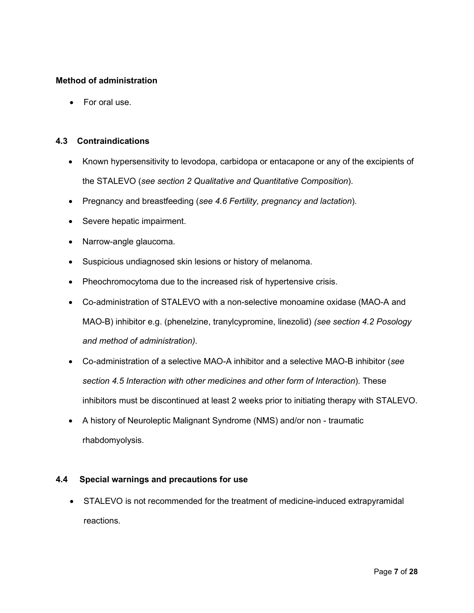## **Method of administration**

• For oral use.

## **4.3 Contraindications**

- Known hypersensitivity to levodopa, carbidopa or entacapone or any of the excipients of the STALEVO (*see section 2 Qualitative and Quantitative Composition*).
- Pregnancy and breastfeeding (*see 4.6 Fertility, pregnancy and lactation*).
- Severe hepatic impairment.
- Narrow-angle glaucoma.
- Suspicious undiagnosed skin lesions or history of melanoma.
- Pheochromocytoma due to the increased risk of hypertensive crisis.
- Co-administration of STALEVO with a non-selective monoamine oxidase (MAO-A and MAO-B) inhibitor e.g. (phenelzine, tranylcypromine, linezolid) *(see section 4.2 Posology and method of administration).*
- Co-administration of a selective MAO-A inhibitor and a selective MAO-B inhibitor (*see section 4.5 Interaction with other medicines and other form of Interaction*). These inhibitors must be discontinued at least 2 weeks prior to initiating therapy with STALEVO.
- A history of Neuroleptic Malignant Syndrome (NMS) and/or non traumatic rhabdomyolysis.

## **4.4 Special warnings and precautions for use**

• STALEVO is not recommended for the treatment of medicine-induced extrapyramidal reactions.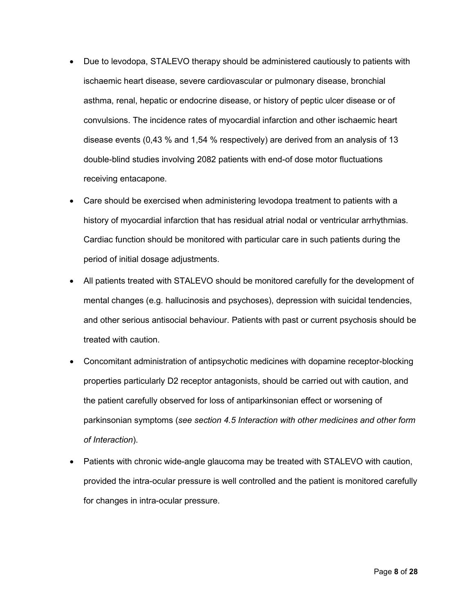- Due to levodopa, STALEVO therapy should be administered cautiously to patients with ischaemic heart disease, severe cardiovascular or pulmonary disease, bronchial asthma, renal, hepatic or endocrine disease, or history of peptic ulcer disease or of convulsions. The incidence rates of myocardial infarction and other ischaemic heart disease events (0,43 % and 1,54 % respectively) are derived from an analysis of 13 double-blind studies involving 2082 patients with end-of dose motor fluctuations receiving entacapone.
- Care should be exercised when administering levodopa treatment to patients with a history of myocardial infarction that has residual atrial nodal or ventricular arrhythmias. Cardiac function should be monitored with particular care in such patients during the period of initial dosage adjustments.
- All patients treated with STALEVO should be monitored carefully for the development of mental changes (e.g. hallucinosis and psychoses), depression with suicidal tendencies, and other serious antisocial behaviour. Patients with past or current psychosis should be treated with caution.
- Concomitant administration of antipsychotic medicines with dopamine receptor-blocking properties particularly D2 receptor antagonists, should be carried out with caution, and the patient carefully observed for loss of antiparkinsonian effect or worsening of parkinsonian symptoms (*see section 4.5 Interaction with other medicines and other form of Interaction*).
- Patients with chronic wide-angle glaucoma may be treated with STALEVO with caution, provided the intra-ocular pressure is well controlled and the patient is monitored carefully for changes in intra-ocular pressure.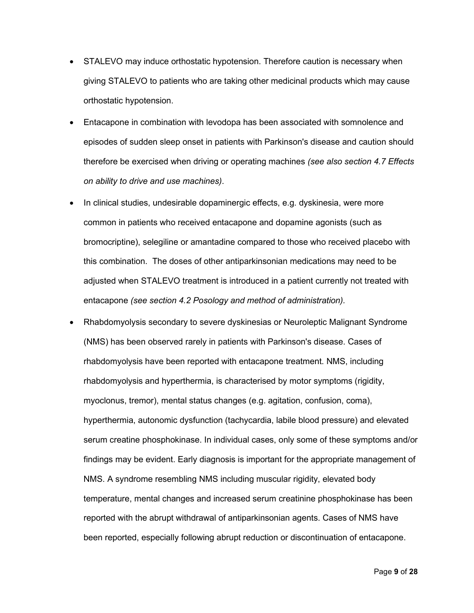- STALEVO may induce orthostatic hypotension. Therefore caution is necessary when giving STALEVO to patients who are taking other medicinal products which may cause orthostatic hypotension.
- Entacapone in combination with levodopa has been associated with somnolence and episodes of sudden sleep onset in patients with Parkinson's disease and caution should therefore be exercised when driving or operating machines *(see also section 4.7 Effects on ability to drive and use machines)*.
- In clinical studies, undesirable dopaminergic effects, e.g. dyskinesia, were more common in patients who received entacapone and dopamine agonists (such as bromocriptine), selegiline or amantadine compared to those who received placebo with this combination. The doses of other antiparkinsonian medications may need to be adjusted when STALEVO treatment is introduced in a patient currently not treated with entacapone *(see section 4.2 Posology and method of administration).*
- Rhabdomyolysis secondary to severe dyskinesias or Neuroleptic Malignant Syndrome (NMS) has been observed rarely in patients with Parkinson's disease. Cases of rhabdomyolysis have been reported with entacapone treatment. NMS, including rhabdomyolysis and hyperthermia, is characterised by motor symptoms (rigidity, myoclonus, tremor), mental status changes (e.g. agitation, confusion, coma), hyperthermia, autonomic dysfunction (tachycardia, labile blood pressure) and elevated serum creatine phosphokinase. In individual cases, only some of these symptoms and/or findings may be evident. Early diagnosis is important for the appropriate management of NMS. A syndrome resembling NMS including muscular rigidity, elevated body temperature, mental changes and increased serum creatinine phosphokinase has been reported with the abrupt withdrawal of antiparkinsonian agents. Cases of NMS have been reported, especially following abrupt reduction or discontinuation of entacapone.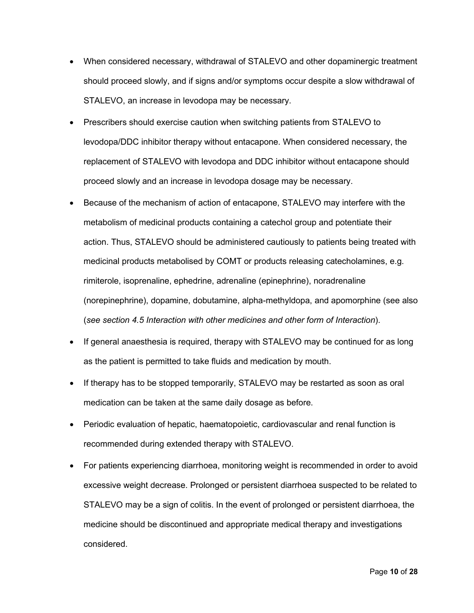- When considered necessary, withdrawal of STALEVO and other dopaminergic treatment should proceed slowly, and if signs and/or symptoms occur despite a slow withdrawal of STALEVO, an increase in levodopa may be necessary.
- Prescribers should exercise caution when switching patients from STALEVO to levodopa/DDC inhibitor therapy without entacapone. When considered necessary, the replacement of STALEVO with levodopa and DDC inhibitor without entacapone should proceed slowly and an increase in levodopa dosage may be necessary.
- Because of the mechanism of action of entacapone, STALEVO may interfere with the metabolism of medicinal products containing a catechol group and potentiate their action. Thus, STALEVO should be administered cautiously to patients being treated with medicinal products metabolised by COMT or products releasing catecholamines, e.g. rimiterole, isoprenaline, ephedrine, adrenaline (epinephrine), noradrenaline (norepinephrine), dopamine, dobutamine, alpha-methyldopa, and apomorphine (see also (*see section 4.5 Interaction with other medicines and other form of Interaction*).
- If general anaesthesia is required, therapy with STALEVO may be continued for as long as the patient is permitted to take fluids and medication by mouth.
- If therapy has to be stopped temporarily, STALEVO may be restarted as soon as oral medication can be taken at the same daily dosage as before.
- Periodic evaluation of hepatic, haematopoietic, cardiovascular and renal function is recommended during extended therapy with STALEVO.
- For patients experiencing diarrhoea, monitoring weight is recommended in order to avoid excessive weight decrease. Prolonged or persistent diarrhoea suspected to be related to STALEVO may be a sign of colitis. In the event of prolonged or persistent diarrhoea, the medicine should be discontinued and appropriate medical therapy and investigations considered.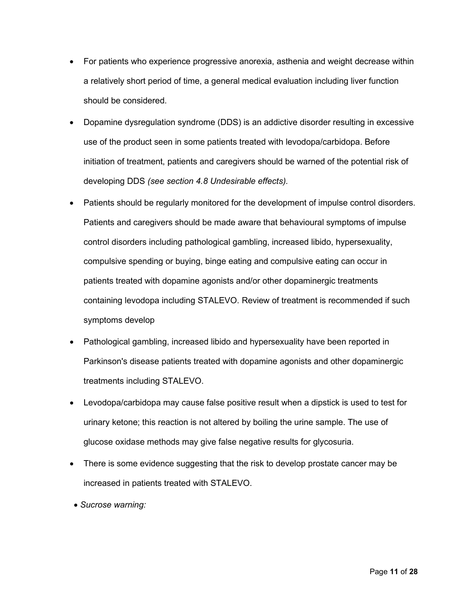- For patients who experience progressive anorexia, asthenia and weight decrease within a relatively short period of time, a general medical evaluation including liver function should be considered.
- Dopamine dysregulation syndrome (DDS) is an addictive disorder resulting in excessive use of the product seen in some patients treated with levodopa/carbidopa. Before initiation of treatment, patients and caregivers should be warned of the potential risk of developing DDS *(see section 4.8 Undesirable effects).*
- Patients should be regularly monitored for the development of impulse control disorders. Patients and caregivers should be made aware that behavioural symptoms of impulse control disorders including pathological gambling, increased libido, hypersexuality, compulsive spending or buying, binge eating and compulsive eating can occur in patients treated with dopamine agonists and/or other dopaminergic treatments containing levodopa including STALEVO. Review of treatment is recommended if such symptoms develop
- Pathological gambling, increased libido and hypersexuality have been reported in Parkinson's disease patients treated with dopamine agonists and other dopaminergic treatments including STALEVO.
- Levodopa/carbidopa may cause false positive result when a dipstick is used to test for urinary ketone; this reaction is not altered by boiling the urine sample. The use of glucose oxidase methods may give false negative results for glycosuria.
- There is some evidence suggesting that the risk to develop prostate cancer may be increased in patients treated with STALEVO.
- *Sucrose warning:*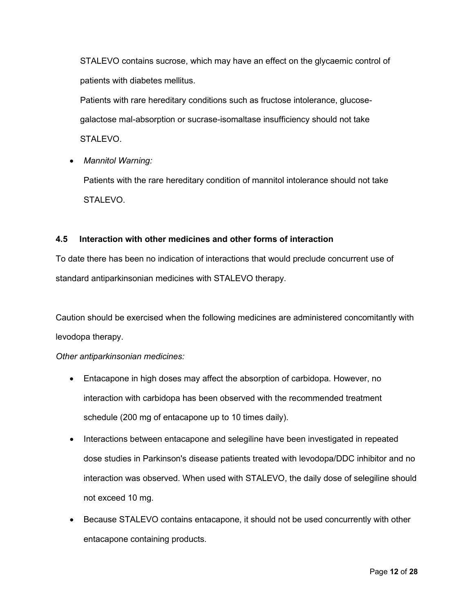STALEVO contains sucrose, which may have an effect on the glycaemic control of patients with diabetes mellitus.

Patients with rare hereditary conditions such as fructose intolerance, glucosegalactose mal-absorption or sucrase-isomaltase insufficiency should not take STALEVO.

• *Mannitol Warning:*

Patients with the rare hereditary condition of mannitol intolerance should not take STALEVO.

## **4.5 Interaction with other medicines and other forms of interaction**

To date there has been no indication of interactions that would preclude concurrent use of standard antiparkinsonian medicines with STALEVO therapy.

Caution should be exercised when the following medicines are administered concomitantly with levodopa therapy.

## *Other antiparkinsonian medicines:*

- Entacapone in high doses may affect the absorption of carbidopa. However, no interaction with carbidopa has been observed with the recommended treatment schedule (200 mg of entacapone up to 10 times daily).
- Interactions between entacapone and selegiline have been investigated in repeated dose studies in Parkinson's disease patients treated with levodopa/DDC inhibitor and no interaction was observed. When used with STALEVO, the daily dose of selegiline should not exceed 10 mg.
- Because STALEVO contains entacapone, it should not be used concurrently with other entacapone containing products.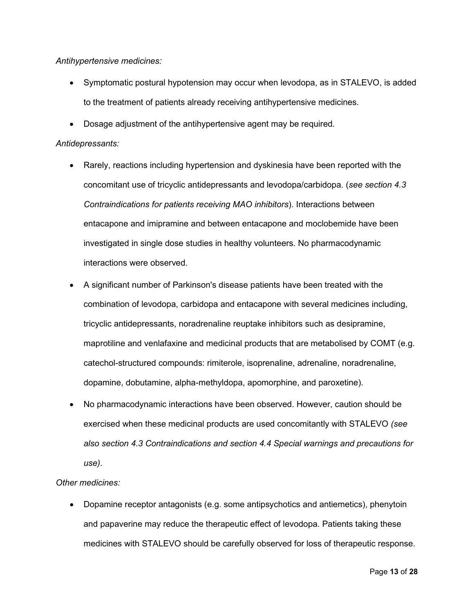*Antihypertensive medicines:*

- Symptomatic postural hypotension may occur when levodopa, as in STALEVO, is added to the treatment of patients already receiving antihypertensive medicines.
- Dosage adjustment of the antihypertensive agent may be required.

## *Antidepressants:*

- Rarely, reactions including hypertension and dyskinesia have been reported with the concomitant use of tricyclic antidepressants and levodopa/carbidopa. (*see section 4.3 Contraindications for patients receiving MAO inhibitors*). Interactions between entacapone and imipramine and between entacapone and moclobemide have been investigated in single dose studies in healthy volunteers. No pharmacodynamic interactions were observed.
- A significant number of Parkinson's disease patients have been treated with the combination of levodopa, carbidopa and entacapone with several medicines including, tricyclic antidepressants, noradrenaline reuptake inhibitors such as desipramine, maprotiline and venlafaxine and medicinal products that are metabolised by COMT (e.g. catechol-structured compounds: rimiterole, isoprenaline, adrenaline, noradrenaline, dopamine, dobutamine, alpha-methyldopa, apomorphine, and paroxetine).
- No pharmacodynamic interactions have been observed. However, caution should be exercised when these medicinal products are used concomitantly with STALEVO *(see also section 4.3 Contraindications and section 4.4 Special warnings and precautions for use).*

## *Other medicines:*

• Dopamine receptor antagonists (e.g. some antipsychotics and antiemetics), phenytoin and papaverine may reduce the therapeutic effect of levodopa. Patients taking these medicines with STALEVO should be carefully observed for loss of therapeutic response.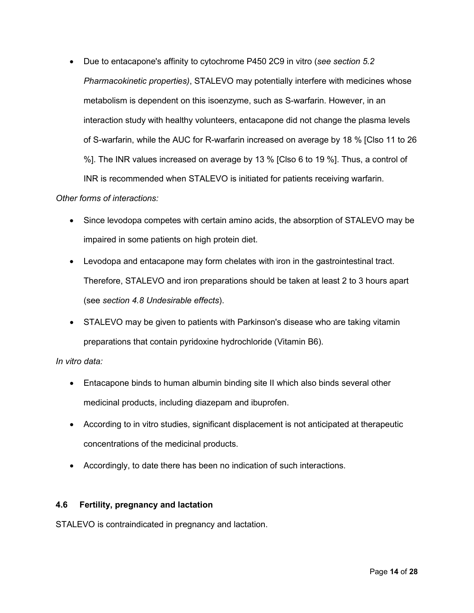• Due to entacapone's affinity to cytochrome P450 2C9 in vitro (*see section 5.2 Pharmacokinetic properties)*, STALEVO may potentially interfere with medicines whose metabolism is dependent on this isoenzyme, such as S-warfarin. However, in an interaction study with healthy volunteers, entacapone did not change the plasma levels of S-warfarin, while the AUC for R-warfarin increased on average by 18 % [Clso 11 to 26 %]. The INR values increased on average by 13 % [Clso 6 to 19 %]. Thus, a control of INR is recommended when STALEVO is initiated for patients receiving warfarin.

## *Other forms of interactions:*

- Since levodopa competes with certain amino acids, the absorption of STALEVO may be impaired in some patients on high protein diet.
- Levodopa and entacapone may form chelates with iron in the gastrointestinal tract. Therefore, STALEVO and iron preparations should be taken at least 2 to 3 hours apart (see *section 4.8 Undesirable effects*).
- STALEVO may be given to patients with Parkinson's disease who are taking vitamin preparations that contain pyridoxine hydrochloride (Vitamin B6).

#### *In vitro data:*

- Entacapone binds to human albumin binding site II which also binds several other medicinal products, including diazepam and ibuprofen.
- According to in vitro studies, significant displacement is not anticipated at therapeutic concentrations of the medicinal products.
- Accordingly, to date there has been no indication of such interactions.

## **4.6 Fertility, pregnancy and lactation**

STALEVO is contraindicated in pregnancy and lactation.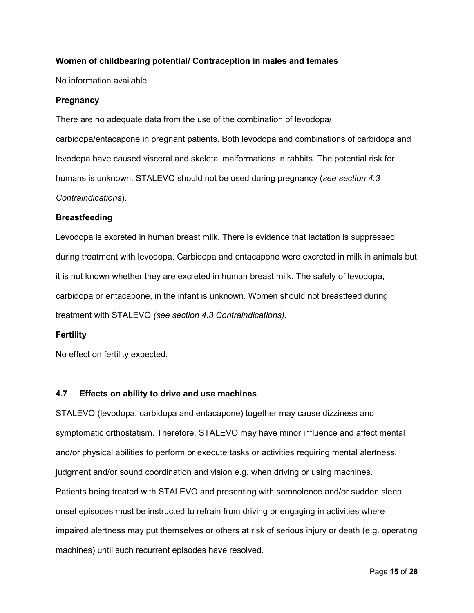## **Women of childbearing potential/ Contraception in males and females**

No information available.

#### **Pregnancy**

There are no adequate data from the use of the combination of levodopa/ carbidopa/entacapone in pregnant patients. Both levodopa and combinations of carbidopa and levodopa have caused visceral and skeletal malformations in rabbits. The potential risk for humans is unknown. STALEVO should not be used during pregnancy (*see section 4.3 Contraindications*).

#### **Breastfeeding**

Levodopa is excreted in human breast milk. There is evidence that lactation is suppressed during treatment with levodopa. Carbidopa and entacapone were excreted in milk in animals but it is not known whether they are excreted in human breast milk. The safety of levodopa, carbidopa or entacapone, in the infant is unknown. Women should not breastfeed during treatment with STALEVO *(see section 4.3 Contraindications)*.

#### **Fertility**

No effect on fertility expected.

## **4.7 Effects on ability to drive and use machines**

STALEVO (levodopa, carbidopa and entacapone) together may cause dizziness and symptomatic orthostatism. Therefore, STALEVO may have minor influence and affect mental and/or physical abilities to perform or execute tasks or activities requiring mental alertness, judgment and/or sound coordination and vision e.g. when driving or using machines. Patients being treated with STALEVO and presenting with somnolence and/or sudden sleep onset episodes must be instructed to refrain from driving or engaging in activities where impaired alertness may put themselves or others at risk of serious injury or death (e.g. operating machines) until such recurrent episodes have resolved.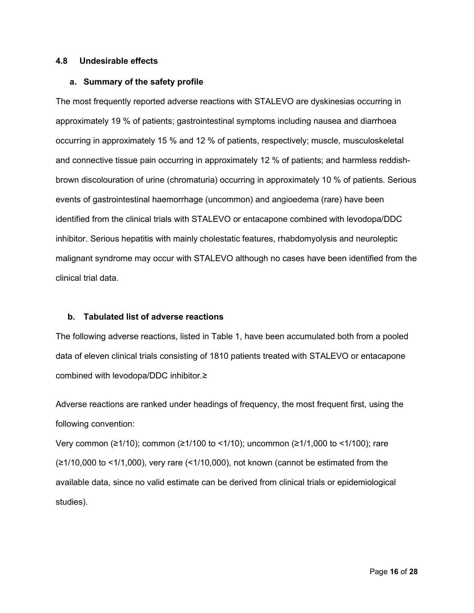#### **4.8 Undesirable effects**

#### **a. Summary of the safety profile**

The most frequently reported adverse reactions with STALEVO are dyskinesias occurring in approximately 19 % of patients; gastrointestinal symptoms including nausea and diarrhoea occurring in approximately 15 % and 12 % of patients, respectively; muscle, musculoskeletal and connective tissue pain occurring in approximately 12 % of patients; and harmless reddishbrown discolouration of urine (chromaturia) occurring in approximately 10 % of patients. Serious events of gastrointestinal haemorrhage (uncommon) and angioedema (rare) have been identified from the clinical trials with STALEVO or entacapone combined with levodopa/DDC inhibitor. Serious hepatitis with mainly cholestatic features, rhabdomyolysis and neuroleptic malignant syndrome may occur with STALEVO although no cases have been identified from the clinical trial data.

#### **b. Tabulated list of adverse reactions**

The following adverse reactions, listed in Table 1, have been accumulated both from a pooled data of eleven clinical trials consisting of 1810 patients treated with STALEVO or entacapone combined with levodopa/DDC inhibitor.≥

Adverse reactions are ranked under headings of frequency, the most frequent first, using the following convention:

Very common (≥1/10); common (≥1/100 to <1/10); uncommon (≥1/1,000 to <1/100); rare (≥1/10,000 to <1/1,000), very rare (<1/10,000), not known (cannot be estimated from the available data, since no valid estimate can be derived from clinical trials or epidemiological studies).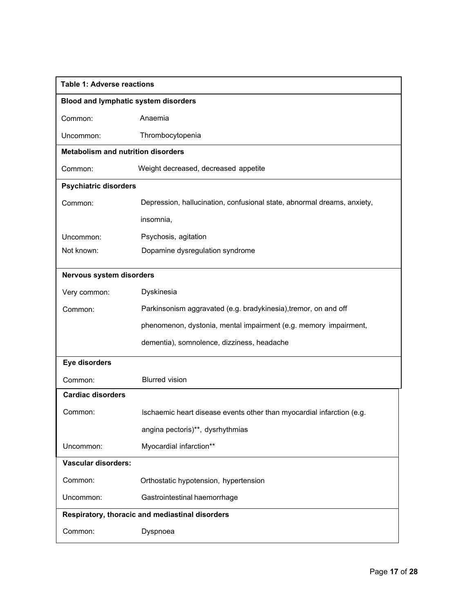| <b>Table 1: Adverse reactions</b>               |                                                                         |  |  |  |
|-------------------------------------------------|-------------------------------------------------------------------------|--|--|--|
| Blood and lymphatic system disorders            |                                                                         |  |  |  |
| Common:                                         | Anaemia                                                                 |  |  |  |
| Uncommon:                                       | Thrombocytopenia                                                        |  |  |  |
| <b>Metabolism and nutrition disorders</b>       |                                                                         |  |  |  |
| Common:                                         | Weight decreased, decreased appetite                                    |  |  |  |
| <b>Psychiatric disorders</b>                    |                                                                         |  |  |  |
| Common:                                         | Depression, hallucination, confusional state, abnormal dreams, anxiety, |  |  |  |
|                                                 | insomnia,                                                               |  |  |  |
| Uncommon:                                       | Psychosis, agitation                                                    |  |  |  |
| Not known:                                      | Dopamine dysregulation syndrome                                         |  |  |  |
| Nervous system disorders                        |                                                                         |  |  |  |
| Very common:                                    | Dyskinesia                                                              |  |  |  |
| Common:                                         | Parkinsonism aggravated (e.g. bradykinesia), tremor, on and off         |  |  |  |
|                                                 | phenomenon, dystonia, mental impairment (e.g. memory impairment,        |  |  |  |
|                                                 | dementia), somnolence, dizziness, headache                              |  |  |  |
|                                                 |                                                                         |  |  |  |
| Eye disorders                                   |                                                                         |  |  |  |
| Common:                                         | <b>Blurred vision</b>                                                   |  |  |  |
| <b>Cardiac disorders</b>                        |                                                                         |  |  |  |
| Common:                                         | Ischaemic heart disease events other than myocardial infarction (e.g.   |  |  |  |
|                                                 | angina pectoris)**, dysrhythmias                                        |  |  |  |
| Uncommon:                                       | Myocardial infarction**                                                 |  |  |  |
| <b>Vascular disorders:</b>                      |                                                                         |  |  |  |
| Common:                                         | Orthostatic hypotension, hypertension                                   |  |  |  |
| Uncommon:                                       | Gastrointestinal haemorrhage                                            |  |  |  |
| Respiratory, thoracic and mediastinal disorders |                                                                         |  |  |  |
| Common:                                         | Dyspnoea                                                                |  |  |  |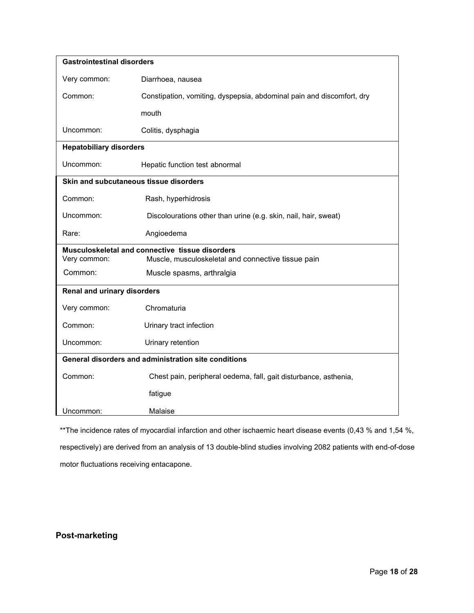| <b>Gastrointestinal disorders</b>                    |                                                                       |  |  |  |  |
|------------------------------------------------------|-----------------------------------------------------------------------|--|--|--|--|
| Very common:                                         | Diarrhoea, nausea                                                     |  |  |  |  |
| Common:                                              | Constipation, vomiting, dyspepsia, abdominal pain and discomfort, dry |  |  |  |  |
|                                                      | mouth                                                                 |  |  |  |  |
| Uncommon:                                            | Colitis, dysphagia                                                    |  |  |  |  |
| <b>Hepatobiliary disorders</b>                       |                                                                       |  |  |  |  |
| Uncommon:                                            | Hepatic function test abnormal                                        |  |  |  |  |
| Skin and subcutaneous tissue disorders               |                                                                       |  |  |  |  |
| Common:                                              | Rash, hyperhidrosis                                                   |  |  |  |  |
| Uncommon:                                            | Discolourations other than urine (e.g. skin, nail, hair, sweat)       |  |  |  |  |
| Rare:                                                | Angioedema                                                            |  |  |  |  |
| Musculoskeletal and connective tissue disorders      |                                                                       |  |  |  |  |
| Very common:                                         | Muscle, musculoskeletal and connective tissue pain                    |  |  |  |  |
| Common:                                              | Muscle spasms, arthralgia                                             |  |  |  |  |
| Renal and urinary disorders                          |                                                                       |  |  |  |  |
| Very common:                                         | Chromaturia                                                           |  |  |  |  |
| Common:                                              | Urinary tract infection                                               |  |  |  |  |
| Uncommon:                                            | Urinary retention                                                     |  |  |  |  |
| General disorders and administration site conditions |                                                                       |  |  |  |  |
| Common:                                              | Chest pain, peripheral oedema, fall, gait disturbance, asthenia,      |  |  |  |  |
|                                                      | fatigue                                                               |  |  |  |  |
| Uncommon:                                            | Malaise                                                               |  |  |  |  |

\*\*The incidence rates of myocardial infarction and other ischaemic heart disease events (0,43 % and 1,54 %, respectively) are derived from an analysis of 13 double-blind studies involving 2082 patients with end-of-dose motor fluctuations receiving entacapone.

## **Post-marketing**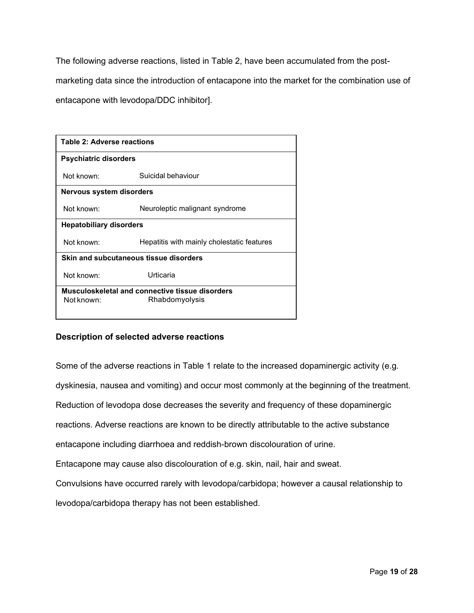The following adverse reactions, listed in Table 2, have been accumulated from the postmarketing data since the introduction of entacapone into the market for the combination use of entacapone with levodopa/DDC inhibitor].

| <b>Table 2: Adverse reactions</b>               |                                            |  |  |  |
|-------------------------------------------------|--------------------------------------------|--|--|--|
| <b>Psychiatric disorders</b>                    |                                            |  |  |  |
| Not known:                                      | Suicidal behaviour                         |  |  |  |
| Nervous system disorders                        |                                            |  |  |  |
| Not known:                                      | Neuroleptic malignant syndrome             |  |  |  |
| <b>Hepatobiliary disorders</b>                  |                                            |  |  |  |
| Not known:                                      | Hepatitis with mainly cholestatic features |  |  |  |
| Skin and subcutaneous tissue disorders          |                                            |  |  |  |
| Not known:                                      | Urticaria                                  |  |  |  |
| Musculoskeletal and connective tissue disorders |                                            |  |  |  |
| Not known:                                      | Rhabdomyolysis                             |  |  |  |

#### **Description of selected adverse reactions**

Some of the adverse reactions in Table 1 relate to the increased dopaminergic activity (e.g. dyskinesia, nausea and vomiting) and occur most commonly at the beginning of the treatment. Reduction of levodopa dose decreases the severity and frequency of these dopaminergic reactions. Adverse reactions are known to be directly attributable to the active substance entacapone including diarrhoea and reddish-brown discolouration of urine. Entacapone may cause also discolouration of e.g. skin, nail, hair and sweat. Convulsions have occurred rarely with levodopa/carbidopa; however a causal relationship to levodopa/carbidopa therapy has not been established.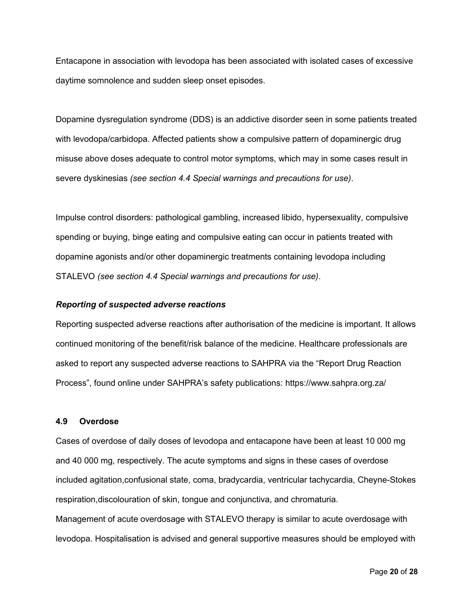Entacapone in association with levodopa has been associated with isolated cases of excessive daytime somnolence and sudden sleep onset episodes.

Dopamine dysregulation syndrome (DDS) is an addictive disorder seen in some patients treated with levodopa/carbidopa. Affected patients show a compulsive pattern of dopaminergic drug misuse above doses adequate to control motor symptoms, which may in some cases result in severe dyskinesias *(see section 4.4 Special warnings and precautions for use)*.

Impulse control disorders: pathological gambling, increased libido, hypersexuality, compulsive spending or buying, binge eating and compulsive eating can occur in patients treated with dopamine agonists and/or other dopaminergic treatments containing levodopa including STALEVO *(see section 4.4 Special warnings and precautions for use)*.

#### *Reporting of suspected adverse reactions*

Reporting suspected adverse reactions after authorisation of the medicine is important. It allows continued monitoring of the benefit/risk balance of the medicine. Healthcare professionals are asked to report any suspected adverse reactions to SAHPRA via the "Report Drug Reaction Process", found online under SAHPRA's safety publications:<https://www.sahpra.org.za/>

#### **4.9 Overdose**

Cases of overdose of daily doses of levodopa and entacapone have been at least 10 000 mg and 40 000 mg, respectively. The acute symptoms and signs in these cases of overdose included agitation,confusional state, coma, bradycardia, ventricular tachycardia, Cheyne-Stokes respiration,discolouration of skin, tongue and conjunctiva, and chromaturia. Management of acute overdosage with STALEVO therapy is similar to acute overdosage with levodopa. Hospitalisation is advised and general supportive measures should be employed with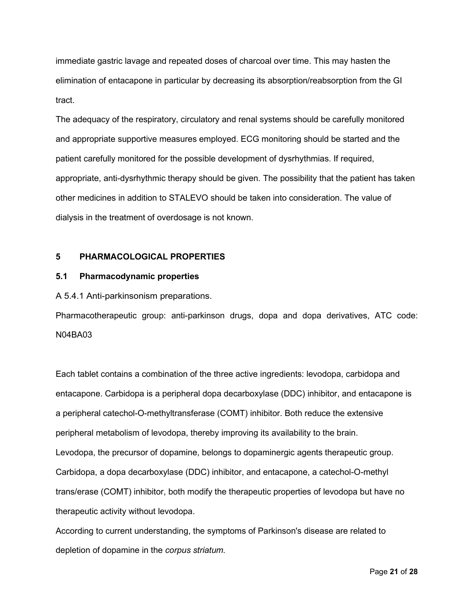immediate gastric lavage and repeated doses of charcoal over time. This may hasten the elimination of entacapone in particular by decreasing its absorption/reabsorption from the GI tract.

The adequacy of the respiratory, circulatory and renal systems should be carefully monitored and appropriate supportive measures employed. ECG monitoring should be started and the patient carefully monitored for the possible development of dysrhythmias. If required, appropriate, anti-dysrhythmic therapy should be given. The possibility that the patient has taken other medicines in addition to STALEVO should be taken into consideration. The value of dialysis in the treatment of overdosage is not known.

#### **5 PHARMACOLOGICAL PROPERTIES**

#### **5.1 Pharmacodynamic properties**

A 5.4.1 Anti-parkinsonism preparations.

Pharmacotherapeutic group: anti-parkinson drugs, dopa and dopa derivatives, ATC code: N04BA03

Each tablet contains a combination of the three active ingredients: levodopa, carbidopa and entacapone. Carbidopa is a peripheral dopa decarboxylase (DDC) inhibitor, and entacapone is a peripheral catechol-O-methyltransferase (COMT) inhibitor. Both reduce the extensive peripheral metabolism of levodopa, thereby improving its availability to the brain. Levodopa, the precursor of dopamine, belongs to dopaminergic agents therapeutic group. Carbidopa, a dopa decarboxylase (DDC) inhibitor, and entacapone, a catechol-O-methyl trans/erase (COMT) inhibitor, both modify the therapeutic properties of levodopa but have no therapeutic activity without levodopa.

According to current understanding, the symptoms of Parkinson's disease are related to depletion of dopamine in the *corpus striatum.*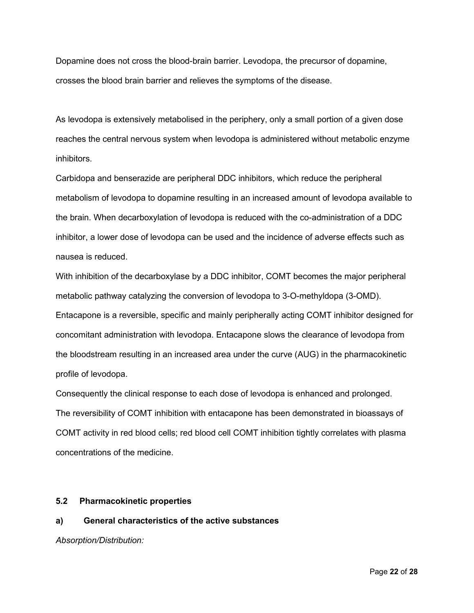Dopamine does not cross the blood-brain barrier. Levodopa, the precursor of dopamine, crosses the blood brain barrier and relieves the symptoms of the disease.

As levodopa is extensively metabolised in the periphery, only a small portion of a given dose reaches the central nervous system when levodopa is administered without metabolic enzyme inhibitors.

Carbidopa and benserazide are peripheral DDC inhibitors, which reduce the peripheral metabolism of levodopa to dopamine resulting in an increased amount of levodopa available to the brain. When decarboxylation of levodopa is reduced with the co-administration of a DDC inhibitor, a lower dose of levodopa can be used and the incidence of adverse effects such as nausea is reduced.

With inhibition of the decarboxylase by a DDC inhibitor, COMT becomes the major peripheral metabolic pathway catalyzing the conversion of levodopa to 3-O-methyldopa (3-OMD). Entacapone is a reversible, specific and mainly peripherally acting COMT inhibitor designed for concomitant administration with levodopa. Entacapone slows the clearance of levodopa from the bloodstream resulting in an increased area under the curve (AUG) in the pharmacokinetic profile of levodopa.

Consequently the clinical response to each dose of levodopa is enhanced and prolonged. The reversibility of COMT inhibition with entacapone has been demonstrated in bioassays of COMT activity in red blood cells; red blood cell COMT inhibition tightly correlates with plasma concentrations of the medicine.

#### **5.2 Pharmacokinetic properties**

## **a) General characteristics of the active substances**

*Absorption/Distribution:*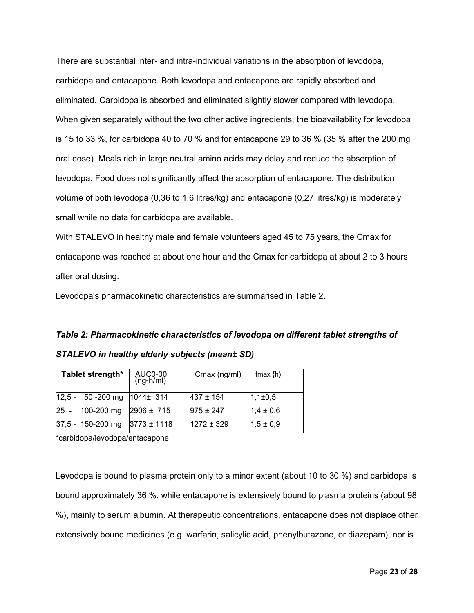There are substantial inter- and intra-individual variations in the absorption of levodopa, carbidopa and entacapone. Both levodopa and entacapone are rapidly absorbed and eliminated. Carbidopa is absorbed and eliminated slightly slower compared with levodopa. When given separately without the two other active ingredients, the bioavailability for levodopa is 15 to 33 %, for carbidopa 40 to 70 % and for entacapone 29 to 36 % (35 % after the 200 mg oral dose). Meals rich in large neutral amino acids may delay and reduce the absorption of levodopa. Food does not significantly affect the absorption of entacapone. The distribution volume of both levodopa (0,36 to 1,6 litres/kg) and entacapone (0,27 litres/kg) is moderately small while no data for carbidopa are available.

With STALEVO in healthy male and female volunteers aged 45 to 75 years, the Cmax for entacapone was reached at about one hour and the Cmax for carbidopa at about 2 to 3 hours after oral dosing.

Levodopa's pharmacokinetic characteristics are summarised in Table 2.

# *Table 2: Pharmacokinetic characteristics of levodopa on different tablet strengths of STALEVO in healthy elderly subjects (mean± SD)*

| Tablet strength*     | AUC0-00<br>(ng-h/ml) | Cmax (ng/ml)   | tmax $\{h\}$  |
|----------------------|----------------------|----------------|---------------|
| $12,5 - 50 - 200$ mg | $1044 \pm 314$       | $437 \pm 154$  | $1,1\pm0,5$   |
| 100-200 mg<br>25 -   | $2906 \pm 715$       | $975 \pm 247$  | $1,4 \pm 0,6$ |
| 37,5 - 150-200 mg    | $3773 \pm 1118$      | $1272 \pm 329$ | $1,5 \pm 0,9$ |

\*carbidopa/levodopa/entacapone

Levodopa is bound to plasma protein only to a minor extent (about 10 to 30 %) and carbidopa is bound approximately 36 %, while entacapone is extensively bound to plasma proteins (about 98 %), mainly to serum albumin. At therapeutic concentrations, entacapone does not displace other extensively bound medicines (e.g. warfarin, salicylic acid, phenylbutazone, or diazepam), nor is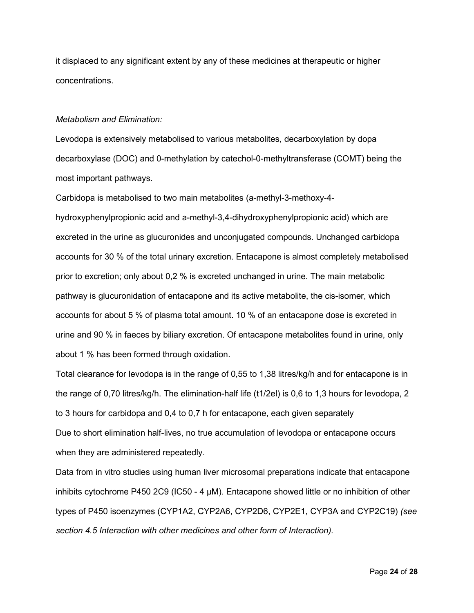it displaced to any significant extent by any of these medicines at therapeutic or higher concentrations.

#### *Metabolism and Elimination:*

Levodopa is extensively metabolised to various metabolites, decarboxylation by dopa decarboxylase (DOC) and 0-methylation by catechol-0-methyltransferase (COMT) being the most important pathways.

Carbidopa is metabolised to two main metabolites (a-methyl-3-methoxy-4 hydroxyphenylpropionic acid and a-methyl-3,4-dihydroxyphenylpropionic acid) which are excreted in the urine as glucuronides and unconjugated compounds. Unchanged carbidopa accounts for 30 % of the total urinary excretion. Entacapone is almost completely metabolised prior to excretion; only about 0,2 % is excreted unchanged in urine. The main metabolic pathway is glucuronidation of entacapone and its active metabolite, the cis-isomer, which accounts for about 5 % of plasma total amount. 10 % of an entacapone dose is excreted in urine and 90 % in faeces by biliary excretion. Of entacapone metabolites found in urine, only about 1 % has been formed through oxidation.

Total clearance for levodopa is in the range of 0,55 to 1,38 litres/kg/h and for entacapone is in the range of 0,70 litres/kg/h. The elimination-half life (t1/2el) is 0,6 to 1,3 hours for levodopa, 2 to 3 hours for carbidopa and 0,4 to 0,7 h for entacapone, each given separately Due to short elimination half-lives, no true accumulation of levodopa or entacapone occurs when they are administered repeatedly.

Data from in vitro studies using human liver microsomal preparations indicate that entacapone inhibits cytochrome P450 2C9 (IC50 - 4 µM). Entacapone showed little or no inhibition of other types of P450 isoenzymes (CYP1A2, CYP2A6, CYP2D6, CYP2E1, CYP3A and CYP2C19) *(see section 4.5 Interaction with other medicines and other form of Interaction).*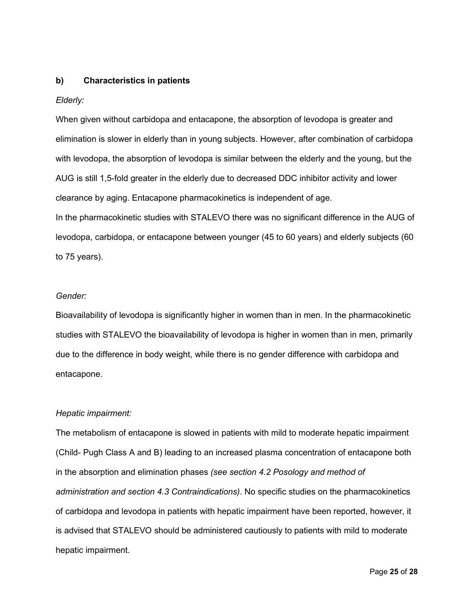#### **b) Characteristics in patients**

#### *Elderly:*

When given without carbidopa and entacapone, the absorption of levodopa is greater and elimination is slower in elderly than in young subjects. However, after combination of carbidopa with levodopa, the absorption of levodopa is similar between the elderly and the young, but the AUG is still 1,5-fold greater in the elderly due to decreased DDC inhibitor activity and lower clearance by aging. Entacapone pharmacokinetics is independent of age.

In the pharmacokinetic studies with STALEVO there was no significant difference in the AUG of levodopa, carbidopa, or entacapone between younger (45 to 60 years) and elderly subjects (60 to 75 years).

#### *Gender:*

Bioavailability of levodopa is significantly higher in women than in men. In the pharmacokinetic studies with STALEVO the bioavailability of levodopa is higher in women than in men, primarily due to the difference in body weight, while there is no gender difference with carbidopa and entacapone.

#### *Hepatic impairment:*

The metabolism of entacapone is slowed in patients with mild to moderate hepatic impairment (Child- Pugh Class A and B) leading to an increased plasma concentration of entacapone both in the absorption and elimination phases *(see section 4.2 Posology and method of administration and section 4.3 Contraindications)*. No specific studies on the pharmacokinetics of carbidopa and levodopa in patients with hepatic impairment have been reported, however, it is advised that STALEVO should be administered cautiously to patients with mild to moderate hepatic impairment.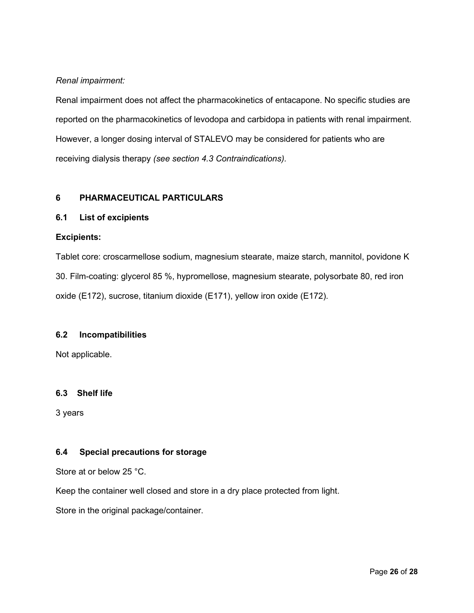## *Renal impairment:*

Renal impairment does not affect the pharmacokinetics of entacapone. No specific studies are reported on the pharmacokinetics of levodopa and carbidopa in patients with renal impairment. However, a longer dosing interval of STALEVO may be considered for patients who are receiving dialysis therapy *(see section 4.3 Contraindications).*

## **6 PHARMACEUTICAL PARTICULARS**

## **6.1 List of excipients**

## **Excipients:**

Tablet core: croscarmellose sodium, magnesium stearate, maize starch, mannitol, povidone K 30. Film-coating: glycerol 85 %, hypromellose, magnesium stearate, polysorbate 80, red iron oxide (E172), sucrose, titanium dioxide (E171), yellow iron oxide (E172).

#### **6.2 Incompatibilities**

Not applicable.

#### **6.3 Shelf life**

3 years

## **6.4 Special precautions for storage**

Store at or below 25 °C.

Keep the container well closed and store in a dry place protected from light.

Store in the original package/container.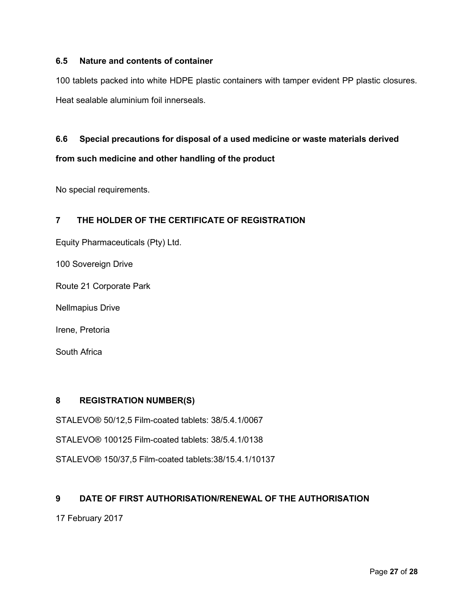## **6.5 Nature and contents of container**

100 tablets packed into white HDPE plastic containers with tamper evident PP plastic closures. Heat sealable aluminium foil innerseals.

## **6.6 Special precautions for disposal of a used medicine or waste materials derived**

## **from such medicine and other handling of the product**

No special requirements.

## **7 THE HOLDER OF THE CERTIFICATE OF REGISTRATION**

Equity Pharmaceuticals (Pty) Ltd.

100 Sovereign Drive

Route 21 Corporate Park

Nellmapius Drive

Irene, Pretoria

South Africa

## **8 REGISTRATION NUMBER(S)**

STALEVO® 50/12,5 Film-coated tablets: 38/5.4.1/0067

STALEVO® 100125 Film-coated tablets: 38/5.4.1/0138

STALEVO® 150/37,5 Film-coated tablets:38/15.4.1/10137

#### **9 DATE OF FIRST AUTHORISATION/RENEWAL OF THE AUTHORISATION**

17 February 2017